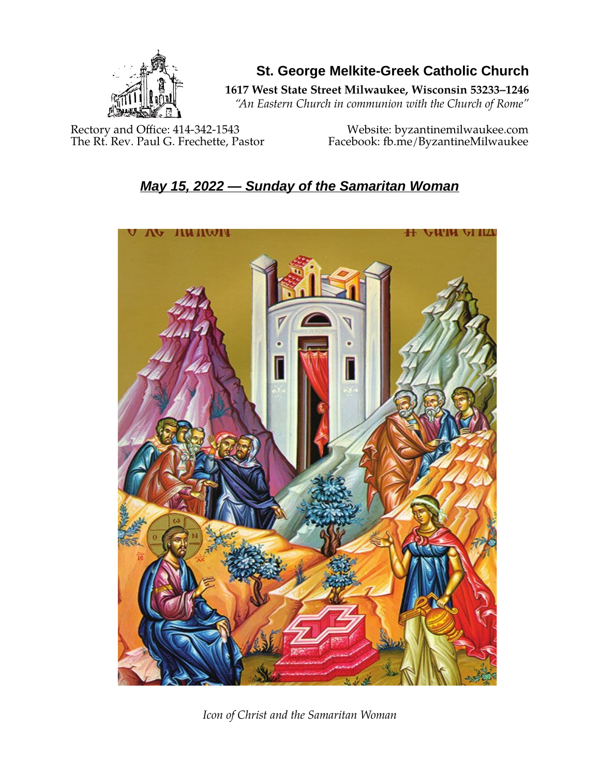

**St. George Melkite-Greek Catholic Church**

**1617 West State Street Milwaukee, Wisconsin 53233–1246**

*"An Eastern Church in communion with the Church of Rome"*

Rectory and Office: 414-342-1543 Website: [byzantinemilwaukee.com](https://byzantinemilwaukee.com/)

The Rt. Rev. Paul G. Frechette, Pastor Facebook: fb.me/ByzantineMilwaukee

# *May 15, 2022 — Sunday of the Samaritan Woman*



*Icon of Christ and the Samaritan Woman*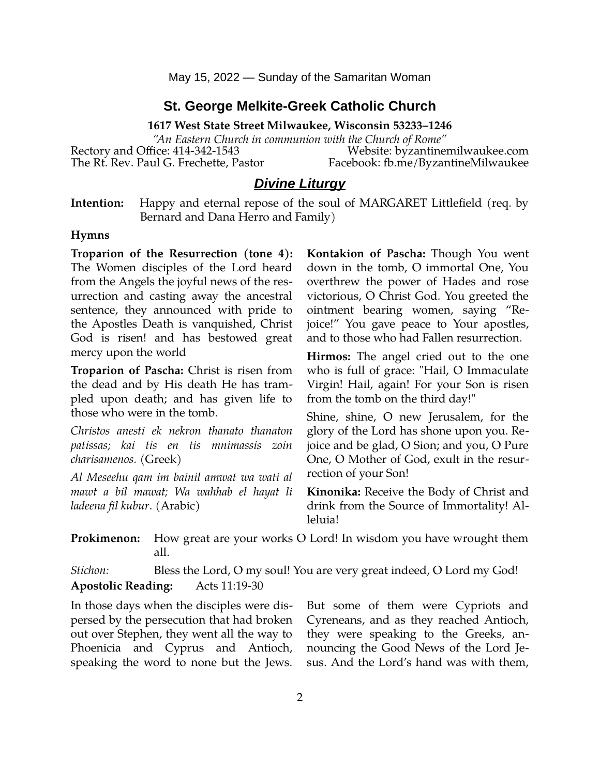May 15, 2022 — Sunday of the Samaritan Woman

#### **St. George Melkite-Greek Catholic Church**

**1617 West State Street Milwaukee, Wisconsin 53233–1246**

*"An Eastern Church in communion with the Church of Rome"* Rectory and Office: 414-342-1543 Website: [byzantinemilwaukee.com](https://byzantinemilwaukee.com/)

The Rt. Rev. Paul G. Frechette, Pastor Facebook: fb.me/ByzantineMilwaukee

#### *Divine Liturgy*

| Intention: Happy and eternal repose of the soul of MARGARET Littlefield (req. by |
|----------------------------------------------------------------------------------|
| Bernard and Dana Herro and Family)                                               |

#### **Hymns**

**Troparion of the Resurrection (tone 4):** The Women disciples of the Lord heard from the Angels the joyful news of the resurrection and casting away the ancestral sentence, they announced with pride to the Apostles Death is vanquished, Christ God is risen! and has bestowed great mercy upon the world

**Troparion of Pascha:** Christ is risen from the dead and by His death He has trampled upon death; and has given life to those who were in the tomb.

*Christos anesti ek nekron thanato thanaton patissas; kai tis en tis mnimassis zoin charisamenos.* (Greek)

*Al Meseehu qam im bainil amwat wa wati al mawt a bil mawat; Wa wahhab el hayat li ladeena fil kubur*. (Arabic)

**Kontakion of Pascha:** Though You went down in the tomb, O immortal One, You overthrew the power of Hades and rose victorious, O Christ God. You greeted the ointment bearing women, saying "Rejoice!" You gave peace to Your apostles, and to those who had Fallen resurrection.

**Hirmos:** The angel cried out to the one who is full of grace: "Hail, O Immaculate Virgin! Hail, again! For your Son is risen from the tomb on the third day!"

Shine, shine, O new Jerusalem, for the glory of the Lord has shone upon you. Rejoice and be glad, O Sion; and you, O Pure One, O Mother of God, exult in the resurrection of your Son!

**Kinonika:** Receive the Body of Christ and drink from the Source of Immortality! Alleluia!

**Prokimenon:** How great are your works O Lord! In wisdom you have wrought them all.

*Stichon:* Bless the Lord, O my soul! You are very great indeed, O Lord my God! **Apostolic Reading:** Acts 11:19-30

In those days when the disciples were dispersed by the persecution that had broken out over Stephen, they went all the way to Phoenicia and Cyprus and Antioch, speaking the word to none but the Jews. But some of them were Cypriots and Cyreneans, and as they reached Antioch, they were speaking to the Greeks, announcing the Good News of the Lord Jesus. And the Lord's hand was with them,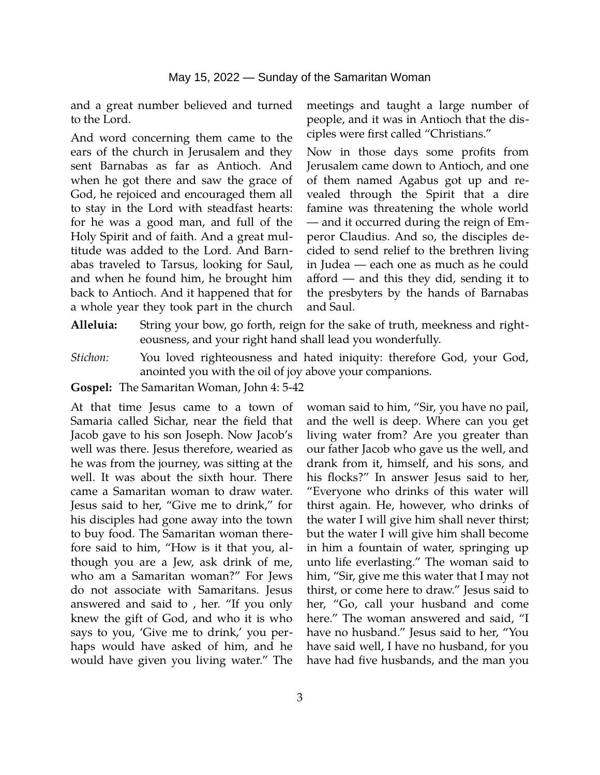and a great number believed and turned to the Lord.

And word concerning them came to the ears of the church in Jerusalem and they sent Barnabas as far as Antioch. And when he got there and saw the grace of God, he rejoiced and encouraged them all to stay in the Lord with steadfast hearts: for he was a good man, and full of the Holy Spirit and of faith. And a great multitude was added to the Lord. And Barnabas traveled to Tarsus, looking for Saul, and when he found him, he brought him back to Antioch. And it happened that for a whole year they took part in the church

meetings and taught a large number of people, and it was in Antioch that the disciples were first called "Christians."

Now in those days some profits from Jerusalem came down to Antioch, and one of them named Agabus got up and revealed through the Spirit that a dire famine was threatening the whole world — and it occurred during the reign of Emperor Claudius. And so, the disciples decided to send relief to the brethren living in Judea — each one as much as he could afford — and this they did, sending it to the presbyters by the hands of Barnabas and Saul.

- **Alleluia:** String your bow, go forth, reign for the sake of truth, meekness and righteousness, and your right hand shall lead you wonderfully.
- *Stichon:* You loved righteousness and hated iniquity: therefore God, your God, anointed you with the oil of joy above your companions.
- **Gospel:** The Samaritan Woman, John 4: 5-42

At that time Jesus came to a town of Samaria called Sichar, near the field that Jacob gave to his son Joseph. Now Jacob's well was there. Jesus therefore, wearied as he was from the journey, was sitting at the well. It was about the sixth hour. There came a Samaritan woman to draw water. Jesus said to her, "Give me to drink," for his disciples had gone away into the town to buy food. The Samaritan woman therefore said to him, "How is it that you, although you are a Jew, ask drink of me, who am a Samaritan woman?" For Jews do not associate with Samaritans. Jesus answered and said to , her. "If you only knew the gift of God, and who it is who says to you, 'Give me to drink,' you perhaps would have asked of him, and he would have given you living water." The

woman said to him, "Sir, you have no pail, and the well is deep. Where can you get living water from? Are you greater than our father Jacob who gave us the well, and drank from it, himself, and his sons, and his flocks?" In answer Jesus said to her, "Everyone who drinks of this water will thirst again. He, however, who drinks of the water I will give him shall never thirst; but the water I will give him shall become in him a fountain of water, springing up unto life everlasting." The woman said to him, "Sir, give me this water that I may not thirst, or come here to draw." Jesus said to her, "Go, call your husband and come here." The woman answered and said, "I have no husband." Jesus said to her, "You have said well, I have no husband, for you have had five husbands, and the man you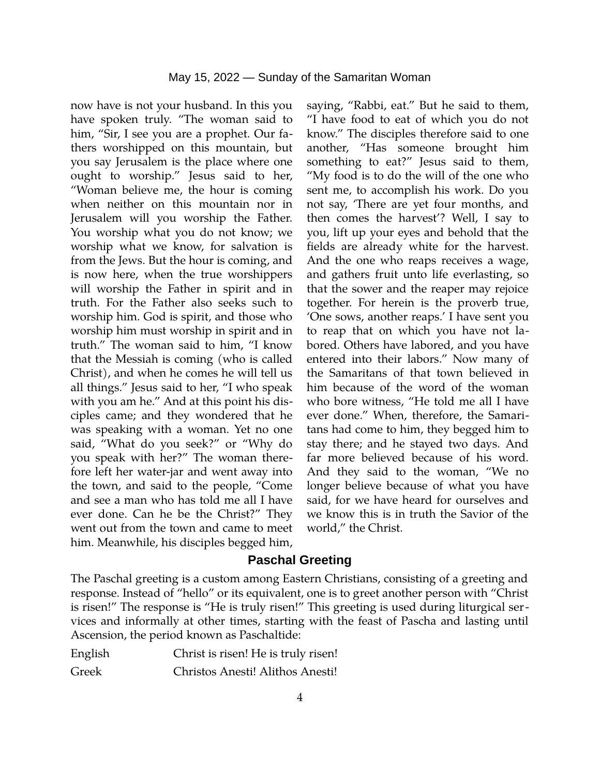now have is not your husband. In this you have spoken truly. "The woman said to him, "Sir, I see you are a prophet. Our fathers worshipped on this mountain, but you say Jerusalem is the place where one ought to worship." Jesus said to her, "Woman believe me, the hour is coming when neither on this mountain nor in Jerusalem will you worship the Father. You worship what you do not know; we worship what we know, for salvation is from the Jews. But the hour is coming, and is now here, when the true worshippers will worship the Father in spirit and in truth. For the Father also seeks such to worship him. God is spirit, and those who worship him must worship in spirit and in truth." The woman said to him, "I know that the Messiah is coming (who is called Christ), and when he comes he will tell us all things." Jesus said to her, "I who speak with you am he." And at this point his disciples came; and they wondered that he was speaking with a woman. Yet no one said, "What do you seek?" or "Why do you speak with her?" The woman therefore left her water-jar and went away into the town, and said to the people, "Come and see a man who has told me all I have ever done. Can he be the Christ?" They went out from the town and came to meet him. Meanwhile, his disciples begged him,

saying, "Rabbi, eat." But he said to them, "I have food to eat of which you do not know." The disciples therefore said to one another, "Has someone brought him something to eat?" Jesus said to them, "My food is to do the will of the one who sent me, to accomplish his work. Do you not say, 'There are yet four months, and then comes the harvest'? Well, I say to you, lift up your eyes and behold that the fields are already white for the harvest. And the one who reaps receives a wage, and gathers fruit unto life everlasting, so that the sower and the reaper may rejoice together. For herein is the proverb true, 'One sows, another reaps.' I have sent you to reap that on which you have not labored. Others have labored, and you have entered into their labors." Now many of the Samaritans of that town believed in him because of the word of the woman who bore witness, "He told me all I have ever done." When, therefore, the Samaritans had come to him, they begged him to stay there; and he stayed two days. And far more believed because of his word. And they said to the woman, "We no longer believe because of what you have said, for we have heard for ourselves and we know this is in truth the Savior of the world," the Christ.

#### **Paschal Greeting**

The Paschal greeting is a custom among Eastern Christians, consisting of a greeting and response. Instead of "hello" or its equivalent, one is to greet another person with "Christ is risen!" The response is "He is truly risen!" This greeting is used during liturgical services and informally at other times, starting with the feast of Pascha and lasting until Ascension, the period known as Paschaltide:

| English | Christ is risen! He is truly risen! |
|---------|-------------------------------------|
| Greek   | Christos Anesti! Alithos Anesti!    |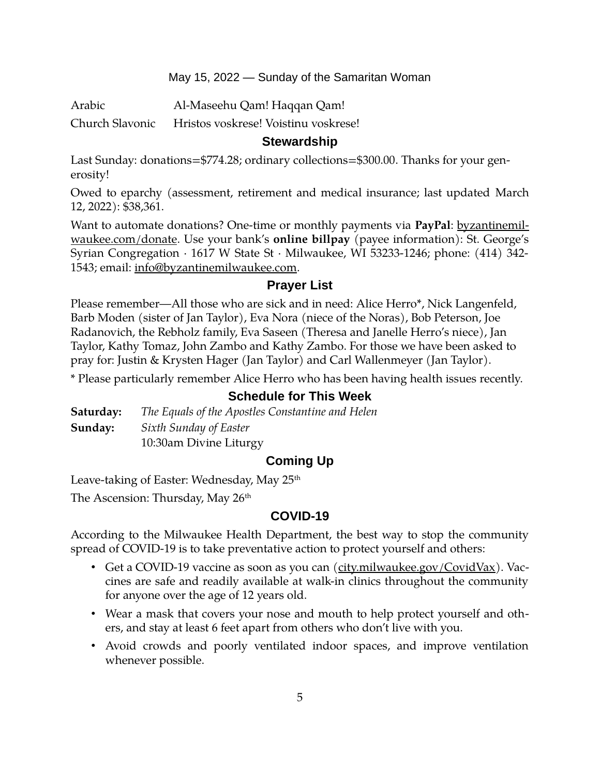#### May 15, 2022 — Sunday of the Samaritan Woman

Arabic Al-Maseehu Qam! Haqqan Qam! Church Slavonic Hristos voskrese! Voistinu voskrese!

## **Stewardship**

Last Sunday: donations=\$774.28; ordinary collections=\$300.00. Thanks for your generosity!

Owed to eparchy (assessment, retirement and medical insurance; last updated March 12, 2022): \$38,361.

Want to automate donations? One-time or monthly payments via PayPal: [byzantinemil](https://byzantinemilwaukee.com/donate/)[waukee.com/donate.](https://byzantinemilwaukee.com/donate/) Use your bank's **online billpay** (payee information): St. George's Syrian Congregation · 1617 W State St · Milwaukee, WI 53233-1246; phone: (414) 342- 1543; email: [info@byzantinemilwaukee.com](mailto:info@byzantinemilwaukee.com).

## **Prayer List**

Please remember—All those who are sick and in need: Alice Herro\*, Nick Langenfeld, Barb Moden (sister of Jan Taylor), Eva Nora (niece of the Noras), Bob Peterson, Joe Radanovich, the Rebholz family, Eva Saseen (Theresa and Janelle Herro's niece), Jan Taylor, Kathy Tomaz, John Zambo and Kathy Zambo. For those we have been asked to pray for: Justin & Krysten Hager (Jan Taylor) and Carl Wallenmeyer (Jan Taylor).

\* Please particularly remember Alice Herro who has been having health issues recently.

# **Schedule for This Week**

**Saturday:** *The Equals of the Apostles Constantine and Helen* **Sunday:** *Sixth Sunday of Easter* 10:30am Divine Liturgy

## **Coming Up**

Leave-taking of Easter: Wednesday, May 25<sup>th</sup>

The Ascension: Thursday, May  $26<sup>th</sup>$ 

## **[COVID-19](mailto:j1ordan2000@yahoo.com)**

According to the Milwaukee Health Department, the best way to stop the community spread of COVID-19 is to take preventative action to protect yourself and others:

- Get a COVID-19 vaccine as soon as you can [\(city.milwaukee.gov/CovidVax\)](https://city.milwaukee.gov/CovidVax). Vaccines are safe and readily available at walk-in clinics throughout the community for anyone over the age of 12 years old.
- Wear a mask that covers your nose and mouth to help protect yourself and others, and stay at least 6 feet apart from others who don't live with you.
- Avoid crowds and poorly ventilated indoor spaces, and improve ventilation whenever possible.